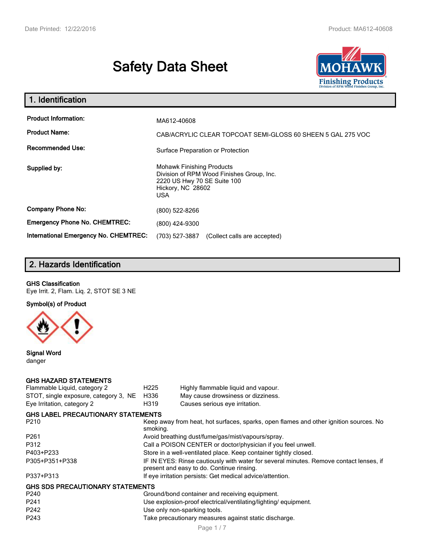# **Safety Data Sheet**



| 1. Identification                                                              |                                                                                                                                                 |  |  |
|--------------------------------------------------------------------------------|-------------------------------------------------------------------------------------------------------------------------------------------------|--|--|
| <b>Product Information:</b><br><b>Product Name:</b><br><b>Recommended Use:</b> | MA612-40608<br>CAB/ACRYLIC CLEAR TOPCOAT SEMI-GLOSS 60 SHEEN 5 GAL 275 VOC<br>Surface Preparation or Protection                                 |  |  |
| Supplied by:                                                                   | <b>Mohawk Finishing Products</b><br>Division of RPM Wood Finishes Group, Inc.<br>2220 US Hwy 70 SE Suite 100<br>Hickory, NC 28602<br><b>USA</b> |  |  |
| <b>Company Phone No:</b>                                                       | (800) 522-8266                                                                                                                                  |  |  |
| <b>Emergency Phone No. CHEMTREC:</b>                                           | (800) 424-9300                                                                                                                                  |  |  |
| International Emergency No. CHEMTREC:                                          | (703) 527-3887<br>(Collect calls are accepted)                                                                                                  |  |  |

## **2. Hazards Identification**

#### **GHS Classification**

Eye Irrit. 2, Flam. Liq. 2, STOT SE 3 NE

**Symbol(s) of Product**



**Signal Word** danger

#### **GHS HAZARD STATEMENTS**

| Flammable Liquid, category 2              | H <sub>225</sub>                                                                                                                    | Highly flammable liquid and vapour.                                                   |  |  |
|-------------------------------------------|-------------------------------------------------------------------------------------------------------------------------------------|---------------------------------------------------------------------------------------|--|--|
| STOT, single exposure, category 3, NE     | H336                                                                                                                                | May cause drowsiness or dizziness.                                                    |  |  |
| Eye Irritation, category 2                | H319                                                                                                                                | Causes serious eye irritation.                                                        |  |  |
| <b>GHS LABEL PRECAUTIONARY STATEMENTS</b> |                                                                                                                                     |                                                                                       |  |  |
| P <sub>210</sub>                          | smoking.                                                                                                                            | Keep away from heat, hot surfaces, sparks, open flames and other ignition sources. No |  |  |
| P <sub>261</sub>                          |                                                                                                                                     | Avoid breathing dust/fume/gas/mist/vapours/spray.                                     |  |  |
| P312                                      |                                                                                                                                     | Call a POISON CENTER or doctor/physician if you feel unwell.                          |  |  |
| P403+P233                                 | Store in a well-ventilated place. Keep container tightly closed.                                                                    |                                                                                       |  |  |
| P305+P351+P338                            | IF IN EYES: Rinse cautiously with water for several minutes. Remove contact lenses, if<br>present and easy to do. Continue rinsing. |                                                                                       |  |  |
| P337+P313                                 | If eye irritation persists: Get medical advice/attention.                                                                           |                                                                                       |  |  |
| <b>GHS SDS PRECAUTIONARY STATEMENTS</b>   |                                                                                                                                     |                                                                                       |  |  |
| P <sub>240</sub>                          |                                                                                                                                     | Ground/bond container and receiving equipment.                                        |  |  |
| P <sub>241</sub>                          |                                                                                                                                     | Use explosion-proof electrical/ventilating/lighting/equipment.                        |  |  |
| P <sub>242</sub>                          |                                                                                                                                     | Use only non-sparking tools.                                                          |  |  |
| P <sub>243</sub>                          | Take precautionary measures against static discharge.                                                                               |                                                                                       |  |  |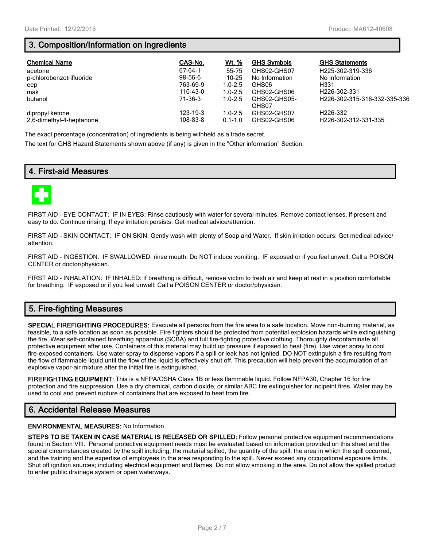### **3. Composition/Information on ingredients**

| <b>Chemical Name</b>                        | CAS-No.              | <u>Wt. %</u>               | <b>GHS Symbols</b>         | <b>GHS Statements</b>                         |
|---------------------------------------------|----------------------|----------------------------|----------------------------|-----------------------------------------------|
| acetone                                     | 67-64-1              | 55-75                      | GHS02-GHS07                | H225-302-319-336                              |
| p-chlorobenzotrifluoride                    | 98-56-6              | $10 - 25$                  | No Information             | No Information                                |
| eep                                         | 763-69-9             | $1.0 - 2.5$                | GHS06                      | H331                                          |
| mak                                         | 110-43-0             | $1.0 - 2.5$                | GHS02-GHS06                | H <sub>226</sub> -302-331                     |
| butanol                                     | 71-36-3              | $1.0 - 2.5$                | GHS02-GHS05-<br>GHS07      | H226-302-315-318-332-335-336                  |
| dipropyl ketone<br>2.6-dimethyl-4-heptanone | 123-19-3<br>108-83-8 | $1.0 - 2.5$<br>$0.1 - 1.0$ | GHS02-GHS07<br>GHS02-GHS06 | H <sub>226</sub> -332<br>H226-302-312-331-335 |

The exact percentage (concentration) of ingredients is being withheld as a trade secret.

The text for GHS Hazard Statements shown above (if any) is given in the "Other information" Section.

### **4. First-aid Measures**



FIRST AID - EYE CONTACT: IF IN EYES: Rinse cautiously with water for several minutes. Remove contact lenses, if present and easy to do. Continue rinsing. If eye irritation persists: Get medical advice/attention.

FIRST AID - SKIN CONTACT: IF ON SKIN: Gently wash with plenty of Soap and Water. If skin irritation occurs: Get medical advice/ attention.

FIRST AID - INGESTION: IF SWALLOWED: rinse mouth. Do NOT induce vomiting. IF exposed or if you feel unwell: Call a POISON CENTER or doctor/physician.

FIRST AID - INHALATION: IF INHALED: If breathing is difficult, remove victim to fresh air and keep at rest in a position comfortable for breathing. IF exposed or if you feel unwell: Call a POISON CENTER or doctor/physician.

### **5. Fire-fighting Measures**

**SPECIAL FIREFIGHTING PROCEDURES:** Evacuate all persons from the fire area to a safe location. Move non-burning material, as feasible, to a safe location as soon as possible. Fire fighters should be protected from potential explosion hazards while extinguishing the fire. Wear self-contained breathing apparatus (SCBA) and full fire-fighting protective clothing. Thoroughly decontaminate all protective equipment after use. Containers of this material may build up pressure if exposed to heat (fire). Use water spray to cool fire-exposed containers. Use water spray to disperse vapors if a spill or leak has not ignited. DO NOT extinguish a fire resulting from the flow of flammable liquid until the flow of the liquid is effectively shut off. This precaution will help prevent the accumulation of an explosive vapor-air mixture after the initial fire is extinguished.

**FIREFIGHTING EQUIPMENT:** This is a NFPA/OSHA Class 1B or less flammable liquid. Follow NFPA30, Chapter 16 for fire protection and fire suppression. Use a dry chemical, carbon dioxide, or similar ABC fire extinguisher for incipeint fires. Water may be used to cool and prevent rupture of containers that are exposed to heat from fire.

### **6. Accidental Release Measures**

#### **ENVIRONMENTAL MEASURES:** No Information

**STEPS TO BE TAKEN IN CASE MATERIAL IS RELEASED OR SPILLED:** Follow personal protective equipment recommendations found in Section VIII. Personal protective equipment needs must be evaluated based on information provided on this sheet and the special circumstances created by the spill including; the material spilled, the quantity of the spill, the area in which the spill occurred, and the training and the expertise of employees in the area responding to the spill. Never exceed any occupational exposure limits. Shut off ignition sources; including electrical equipment and flames. Do not allow smoking in the area. Do not allow the spilled product to enter public drainage system or open waterways.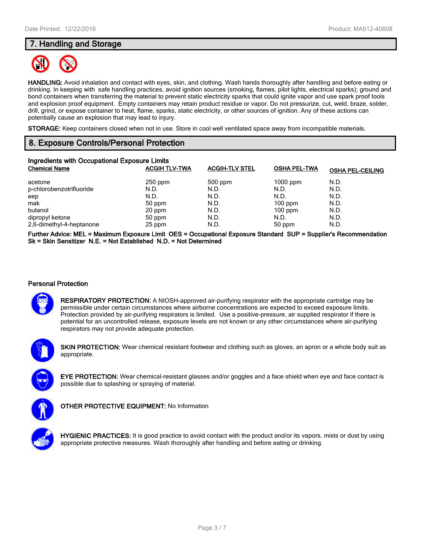### **7. Handling and Storage**



**HANDLING:** Avoid inhalation and contact with eyes, skin, and clothing. Wash hands thoroughly after handling and before eating or drinking. In keeping with safe handling practices, avoid ignition sources (smoking, flames, pilot lights, electrical sparks); ground and bond containers when transferring the material to prevent static electricity sparks that could ignite vapor and use spark proof tools and explosion proof equipment. Empty containers may retain product residue or vapor. Do not pressurize, cut, weld, braze, solder, drill, grind, or expose container to heat, flame, sparks, static electricity, or other sources of ignition. Any of these actions can potentially cause an explosion that may lead to injury.

**STORAGE:** Keep containers closed when not in use. Store in cool well ventilated space away from incompatible materials.

### **8. Exposure Controls/Personal Protection**

| Ingredients with Occupational Exposure Limits |                      |                       |                     |                         |  |  |
|-----------------------------------------------|----------------------|-----------------------|---------------------|-------------------------|--|--|
| <b>Chemical Name</b>                          | <b>ACGIH TLV-TWA</b> | <b>ACGIH-TLV STEL</b> | <b>OSHA PEL-TWA</b> | <b>OSHA PEL-CEILING</b> |  |  |
| acetone                                       | $250$ ppm            | 500 ppm               | $1000$ ppm          | N.D.                    |  |  |
| p-chlorobenzotrifluoride                      | N.D.                 | N.D.                  | N.D.                | N.D.                    |  |  |
| eep                                           | N.D.                 | N.D.                  | N.D.                | N.D.                    |  |  |
| mak                                           | 50 ppm               | N.D.                  | $100$ ppm           | N.D.                    |  |  |
| butanol                                       | 20 ppm               | N.D.                  | $100$ ppm           | N.D.                    |  |  |
| dipropyl ketone                               | 50 ppm               | N.D.                  | N.D.                | N.D.                    |  |  |
| 2,6-dimethyl-4-heptanone                      | 25 ppm               | N.D.                  | 50 ppm              | N.D.                    |  |  |

**Further Advice: MEL = Maximum Exposure Limit OES = Occupational Exposure Standard SUP = Supplier's Recommendation Sk = Skin Sensitizer N.E. = Not Established N.D. = Not Determined**

#### **Personal Protection**



**RESPIRATORY PROTECTION:** A NIOSH-approved air-purifying respirator with the appropriate cartridge may be permissible under certain circumstances where airborne concentrations are expected to exceed exposure limits. Protection provided by air-purifying respirators is limited. Use a positive-pressure, air supplied respirator if there is potential for an uncontrolled release, exposure levels are not known or any other circumstances where air-purifying respirators may not provide adequate protection.



**SKIN PROTECTION:** Wear chemical resistant footwear and clothing such as gloves, an apron or a whole body suit as appropriate.



**EYE PROTECTION:** Wear chemical-resistant glasses and/or goggles and a face shield when eye and face contact is possible due to splashing or spraying of material.



**OTHER PROTECTIVE EQUIPMENT:** No Information



**HYGIENIC PRACTICES:** It is good practice to avoid contact with the product and/or its vapors, mists or dust by using appropriate protective measures. Wash thoroughly after handling and before eating or drinking.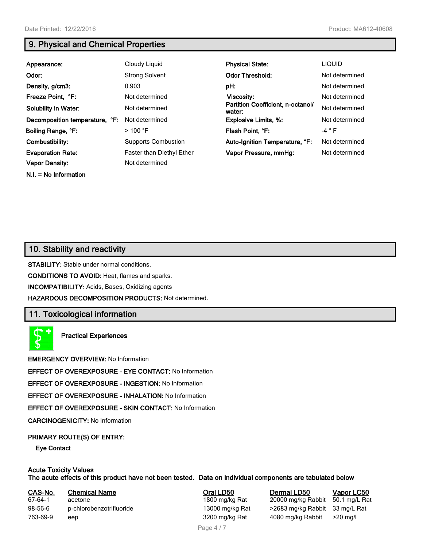### **9. Physical and Chemical Properties**

| Appearance:                    | Cloudy Liquid              | <b>Physical State:</b>                      | <b>LIQUID</b>  |
|--------------------------------|----------------------------|---------------------------------------------|----------------|
| Odor:                          | <b>Strong Solvent</b>      | <b>Odor Threshold:</b>                      | Not determined |
| Density, g/cm3:                | 0.903                      | pH:                                         | Not determined |
| Freeze Point, °F:              | Not determined             | Viscosity:                                  | Not determined |
| <b>Solubility in Water:</b>    | Not determined             | Partition Coefficient, n-octanol/<br>water: | Not determined |
| Decomposition temperature, °F: | Not determined             | <b>Explosive Limits, %:</b>                 | Not determined |
| Boiling Range, °F:             | $>$ 100 °F                 | Flash Point, °F:                            | $-4$ $\circ$ F |
| Combustibility:                | <b>Supports Combustion</b> | Auto-Ignition Temperature, °F:              | Not determined |
| <b>Evaporation Rate:</b>       | Faster than Diethyl Ether  | Vapor Pressure, mmHg:                       | Not determined |
| <b>Vapor Density:</b>          | Not determined             |                                             |                |
| $N.I. = No Information$        |                            |                                             |                |

### **10. Stability and reactivity**

**STABILITY:** Stable under normal conditions.

**CONDITIONS TO AVOID:** Heat, flames and sparks.

**INCOMPATIBILITY:** Acids, Bases, Oxidizing agents

**HAZARDOUS DECOMPOSITION PRODUCTS:** Not determined.

### **11. Toxicological information**



**Practical Experiences**

**EMERGENCY OVERVIEW:** No Information

**EFFECT OF OVEREXPOSURE - EYE CONTACT:** No Information

**EFFECT OF OVEREXPOSURE - INGESTION:** No Information

**EFFECT OF OVEREXPOSURE - INHALATION:** No Information

**EFFECT OF OVEREXPOSURE - SKIN CONTACT:** No Information

**CARCINOGENICITY:** No Information

#### **PRIMARY ROUTE(S) OF ENTRY:**

**Eye Contact**

### **Acute Toxicity Values**

**The acute effects of this product have not been tested. Data on individual components are tabulated below**

| CAS-No.  | <b>Chemical Name</b>     |
|----------|--------------------------|
| 67-64-1  | acetone                  |
| 98-56-6  | p-chlorobenzotrifluoride |
| 763-69-9 | eep                      |

**Casa-No. 2008 LOSE CASES LOSE LOSE CASA-No. 20000 mg/kg Rabbit 50.1 mg/L Rational Poral Definition CASES CASES CASES 1600 mg/kg Rabbit 50.1 mg/L Rational Poral Poral Poral Poral Poral Poral Poral Poral Poral Poral Poral P** 20000 mg/kg Rabbit 50.1 mg/L Rat 13000 mg/kg Rat >2683 mg/kg Rabbit 33 mg/L Rat 3200 mg/kg Rat 4080 mg/kg Rabbit >20 mg/l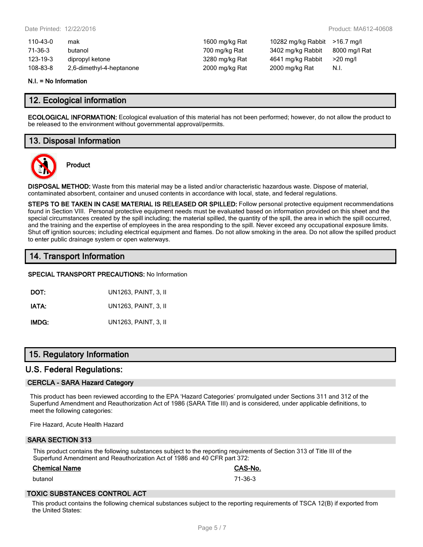| 110-43-0 | mak                      |
|----------|--------------------------|
| 71-36-3  | butanol                  |
| 123-19-3 | dipropyl ketone          |
| 108-83-8 | 2,6-dimethyl-4-heptanone |

1600 mg/kg Rat 10282 mg/kg Rabbit >16.7 mg/l 700 mg/kg Rat 3402 mg/kg Rabbit 8000 mg/l Rat 1280 mg/kg Rat 4641 mg/kg Rabbit >20 mg/l 2000 mg/kg Rat 2000 mg/kg Rat N.I.

#### **N.I. = No Information**

### **12. Ecological information**

**ECOLOGICAL INFORMATION:** Ecological evaluation of this material has not been performed; however, do not allow the product to be released to the environment without governmental approval/permits.

### **13. Disposal Information**



**Product**

**DISPOSAL METHOD:** Waste from this material may be a listed and/or characteristic hazardous waste. Dispose of material, contaminated absorbent, container and unused contents in accordance with local, state, and federal regulations.

**STEPS TO BE TAKEN IN CASE MATERIAL IS RELEASED OR SPILLED:** Follow personal protective equipment recommendations found in Section VIII. Personal protective equipment needs must be evaluated based on information provided on this sheet and the special circumstances created by the spill including; the material spilled, the quantity of the spill, the area in which the spill occurred, and the training and the expertise of employees in the area responding to the spill. Never exceed any occupational exposure limits. Shut off ignition sources; including electrical equipment and flames. Do not allow smoking in the area. Do not allow the spilled product to enter public drainage system or open waterways.

### **14. Transport Information**

#### **SPECIAL TRANSPORT PRECAUTIONS:** No Information

**DOT:** UN1263, PAINT, 3, II **IATA:** UN1263, PAINT, 3, II **IMDG:** UN1263, PAINT, 3, II

### **15. Regulatory Information**

### **U.S. Federal Regulations:**

#### **CERCLA - SARA Hazard Category**

This product has been reviewed according to the EPA 'Hazard Categories' promulgated under Sections 311 and 312 of the Superfund Amendment and Reauthorization Act of 1986 (SARA Title III) and is considered, under applicable definitions, to meet the following categories:

Fire Hazard, Acute Health Hazard

#### **SARA SECTION 313**

This product contains the following substances subject to the reporting requirements of Section 313 of Title III of the Superfund Amendment and Reauthorization Act of 1986 and 40 CFR part 372:

#### **Chemical Name CAS-No.**

butanol 71-36-3

### **TOXIC SUBSTANCES CONTROL ACT**

This product contains the following chemical substances subject to the reporting requirements of TSCA 12(B) if exported from the United States: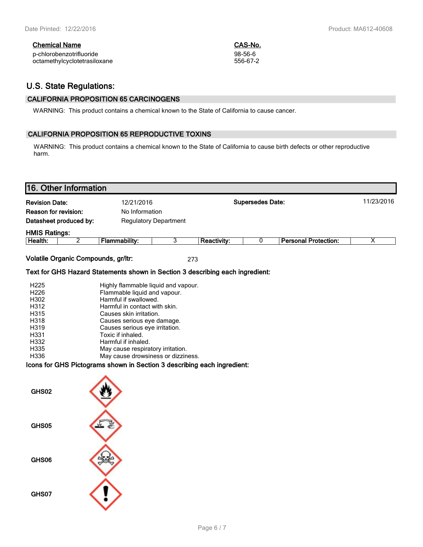| <b>Chemical Name</b>         | CAS-No.  |
|------------------------------|----------|
| p-chlorobenzotrifluoride     | 98-56-6  |
| octamethylcyclotetrasiloxane | 556-67-2 |

### **U.S. State Regulations:**

### **CALIFORNIA PROPOSITION 65 CARCINOGENS**

WARNING: This product contains a chemical known to the State of California to cause cancer.

### **CALIFORNIA PROPOSITION 65 REPRODUCTIVE TOXINS**

WARNING: This product contains a chemical known to the State of California to cause birth defects or other reproductive harm.

| 16. Other Information                             |                                                                               |                         |                    |   |                             |   |
|---------------------------------------------------|-------------------------------------------------------------------------------|-------------------------|--------------------|---|-----------------------------|---|
| <b>Revision Date:</b>                             | 12/21/2016                                                                    | <b>Supersedes Date:</b> |                    |   | 11/23/2016                  |   |
| Reason for revision:                              | No Information                                                                |                         |                    |   |                             |   |
| Datasheet produced by:                            | <b>Regulatory Department</b>                                                  |                         |                    |   |                             |   |
|                                                   |                                                                               |                         |                    |   |                             |   |
| <b>HMIS Ratings:</b><br>$\overline{2}$<br>Health: | <b>Flammability:</b>                                                          | 3                       | <b>Reactivity:</b> | 0 | <b>Personal Protection:</b> | X |
|                                                   |                                                                               |                         |                    |   |                             |   |
| Volatile Organic Compounds, gr/ltr:               |                                                                               |                         | 273                |   |                             |   |
|                                                   |                                                                               |                         |                    |   |                             |   |
|                                                   | Text for GHS Hazard Statements shown in Section 3 describing each ingredient: |                         |                    |   |                             |   |
| H <sub>225</sub>                                  | Highly flammable liquid and vapour.                                           |                         |                    |   |                             |   |
| H226                                              | Flammable liquid and vapour.                                                  |                         |                    |   |                             |   |
| H302                                              | Harmful if swallowed.                                                         |                         |                    |   |                             |   |
| H312                                              | Harmful in contact with skin.                                                 |                         |                    |   |                             |   |
| H315                                              | Causes skin irritation.                                                       |                         |                    |   |                             |   |
| H318                                              | Causes serious eye damage.                                                    |                         |                    |   |                             |   |
| H319                                              | Causes serious eye irritation.                                                |                         |                    |   |                             |   |
| H331                                              | Toxic if inhaled.                                                             |                         |                    |   |                             |   |
| H332                                              | Harmful if inhaled.                                                           |                         |                    |   |                             |   |
| H335                                              | May cause respiratory irritation.                                             |                         |                    |   |                             |   |
| H336                                              | May cause drowsiness or dizziness.                                            |                         |                    |   |                             |   |
|                                                   | Icons for GHS Pictograms shown in Section 3 describing each ingredient:       |                         |                    |   |                             |   |
| GHS02                                             |                                                                               |                         |                    |   |                             |   |
| GHS05                                             |                                                                               |                         |                    |   |                             |   |